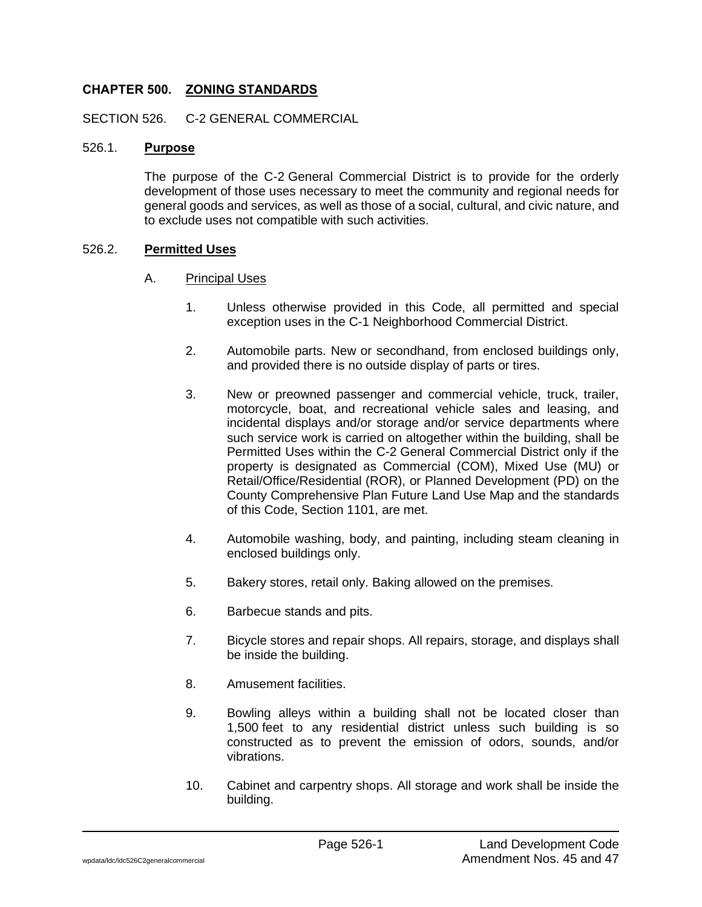# **CHAPTER 500. ZONING STANDARDS**

SECTION 526. C-2 GENERAL COMMERCIAL

### 526.1. **Purpose**

The purpose of the C-2 General Commercial District is to provide for the orderly development of those uses necessary to meet the community and regional needs for general goods and services, as well as those of a social, cultural, and civic nature, and to exclude uses not compatible with such activities.

### 526.2. **Permitted Uses**

- A. Principal Uses
	- 1. Unless otherwise provided in this Code, all permitted and special exception uses in the C-1 Neighborhood Commercial District.
	- 2. Automobile parts. New or secondhand, from enclosed buildings only, and provided there is no outside display of parts or tires.
	- 3. New or preowned passenger and commercial vehicle, truck, trailer, motorcycle, boat, and recreational vehicle sales and leasing, and incidental displays and/or storage and/or service departments where such service work is carried on altogether within the building, shall be Permitted Uses within the C-2 General Commercial District only if the property is designated as Commercial (COM), Mixed Use (MU) or Retail/Office/Residential (ROR), or Planned Development (PD) on the County Comprehensive Plan Future Land Use Map and the standards of this Code, Section 1101, are met.
	- 4. Automobile washing, body, and painting, including steam cleaning in enclosed buildings only.
	- 5. Bakery stores, retail only. Baking allowed on the premises.
	- 6. Barbecue stands and pits.
	- 7. Bicycle stores and repair shops. All repairs, storage, and displays shall be inside the building.
	- 8. Amusement facilities.
	- 9. Bowling alleys within a building shall not be located closer than 1,500 feet to any residential district unless such building is so constructed as to prevent the emission of odors, sounds, and/or vibrations.
	- 10. Cabinet and carpentry shops. All storage and work shall be inside the building.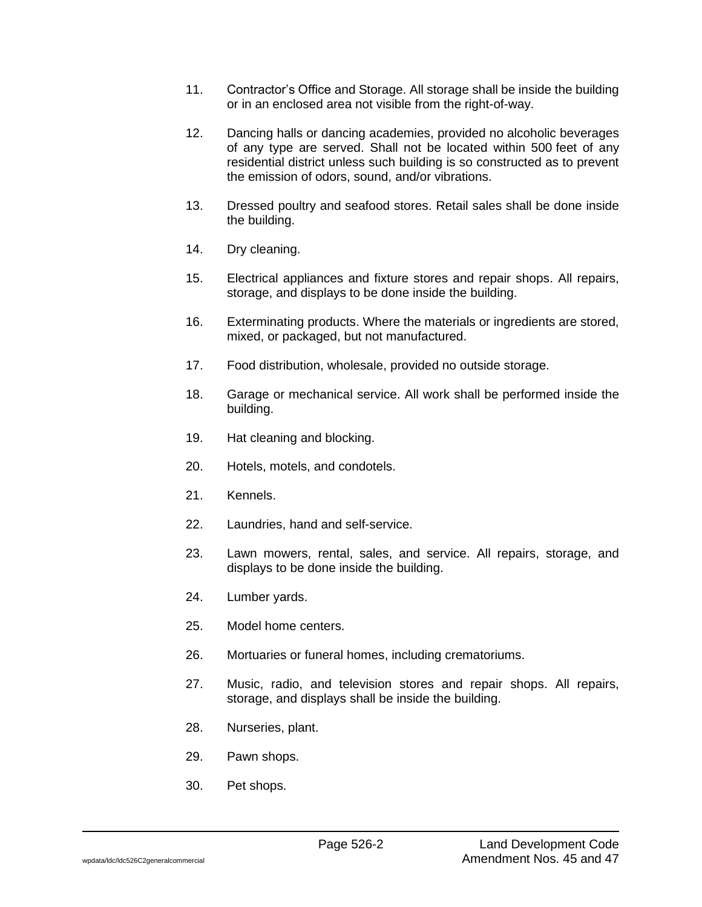- 11. Contractor's Office and Storage. All storage shall be inside the building or in an enclosed area not visible from the right-of-way.
- 12. Dancing halls or dancing academies, provided no alcoholic beverages of any type are served. Shall not be located within 500 feet of any residential district unless such building is so constructed as to prevent the emission of odors, sound, and/or vibrations.
- 13. Dressed poultry and seafood stores. Retail sales shall be done inside the building.
- 14. Dry cleaning.
- 15. Electrical appliances and fixture stores and repair shops. All repairs, storage, and displays to be done inside the building.
- 16. Exterminating products. Where the materials or ingredients are stored, mixed, or packaged, but not manufactured.
- 17. Food distribution, wholesale, provided no outside storage.
- 18. Garage or mechanical service. All work shall be performed inside the building.
- 19. Hat cleaning and blocking.
- 20. Hotels, motels, and condotels.
- 21. Kennels.
- 22. Laundries, hand and self-service.
- 23. Lawn mowers, rental, sales, and service. All repairs, storage, and displays to be done inside the building.
- 24. Lumber yards.
- 25. Model home centers.
- 26. Mortuaries or funeral homes, including crematoriums.
- 27. Music, radio, and television stores and repair shops. All repairs, storage, and displays shall be inside the building.
- 28. Nurseries, plant.
- 29. Pawn shops.
- 30. Pet shops.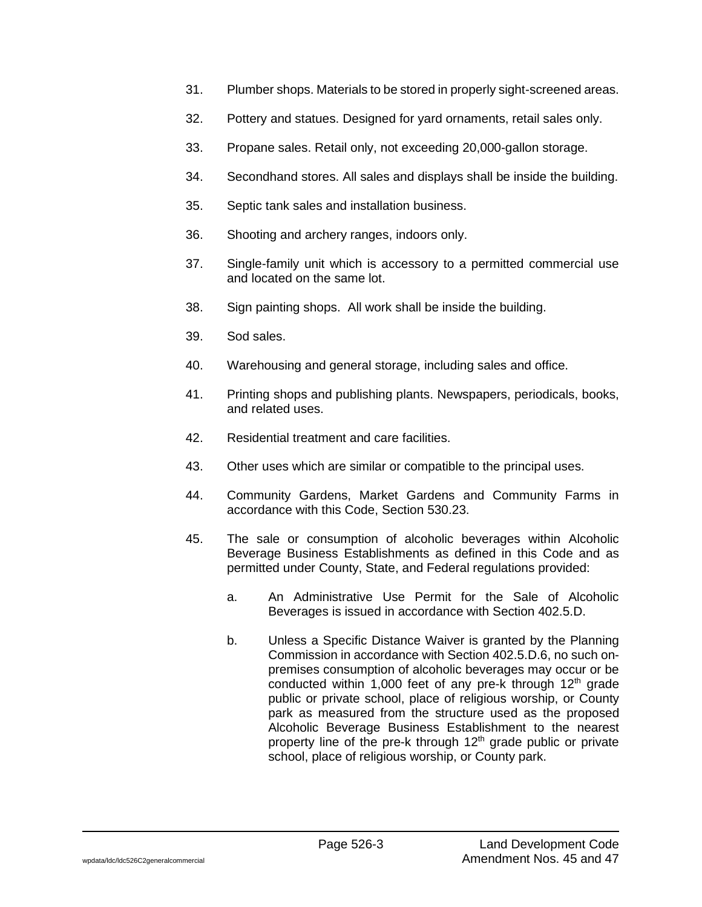- 31. Plumber shops. Materials to be stored in properly sight-screened areas.
- 32. Pottery and statues. Designed for yard ornaments, retail sales only.
- 33. Propane sales. Retail only, not exceeding 20,000-gallon storage.
- 34. Secondhand stores. All sales and displays shall be inside the building.
- 35. Septic tank sales and installation business.
- 36. Shooting and archery ranges, indoors only.
- 37. Single-family unit which is accessory to a permitted commercial use and located on the same lot.
- 38. Sign painting shops. All work shall be inside the building.
- 39. Sod sales.
- 40. Warehousing and general storage, including sales and office.
- 41. Printing shops and publishing plants. Newspapers, periodicals, books, and related uses.
- 42. Residential treatment and care facilities.
- 43. Other uses which are similar or compatible to the principal uses.
- 44. Community Gardens, Market Gardens and Community Farms in accordance with this Code, Section 530.23.
- 45. The sale or consumption of alcoholic beverages within Alcoholic Beverage Business Establishments as defined in this Code and as permitted under County, State, and Federal regulations provided:
	- a. An Administrative Use Permit for the Sale of Alcoholic Beverages is issued in accordance with Section 402.5.D.
	- b. Unless a Specific Distance Waiver is granted by the Planning Commission in accordance with Section 402.5.D.6, no such onpremises consumption of alcoholic beverages may occur or be conducted within 1,000 feet of any pre-k through  $12<sup>th</sup>$  grade public or private school, place of religious worship, or County park as measured from the structure used as the proposed Alcoholic Beverage Business Establishment to the nearest property line of the pre-k through 12<sup>th</sup> grade public or private school, place of religious worship, or County park.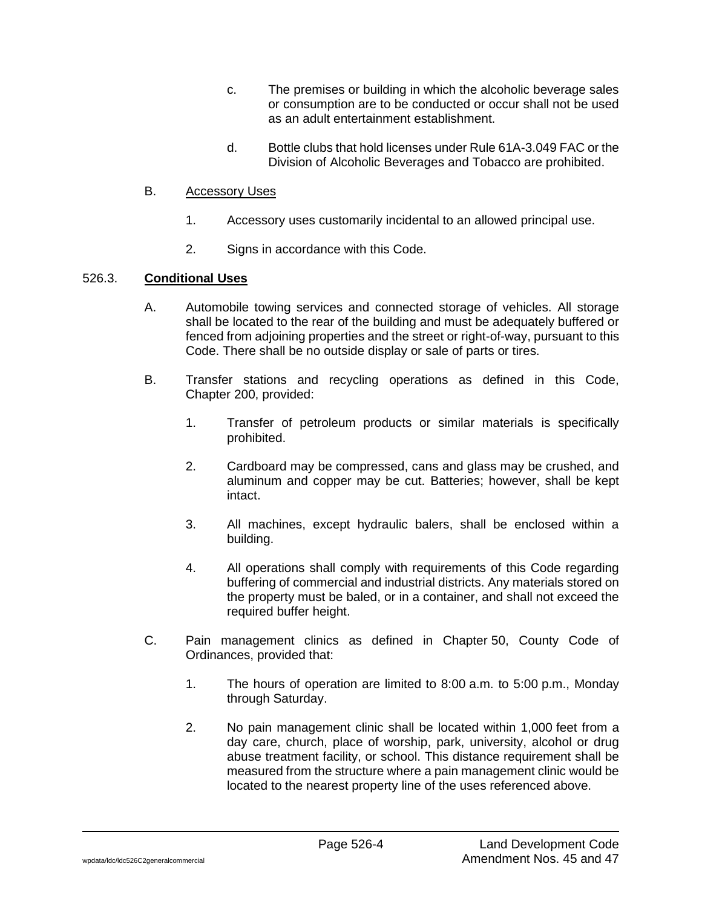- c. The premises or building in which the alcoholic beverage sales or consumption are to be conducted or occur shall not be used as an adult entertainment establishment.
- d. Bottle clubs that hold licenses under Rule 61A-3.049 FAC or the Division of Alcoholic Beverages and Tobacco are prohibited.

# B. Accessory Uses

- 1. Accessory uses customarily incidental to an allowed principal use.
- 2. Signs in accordance with this Code.

### 526.3. **Conditional Uses**

- A. Automobile towing services and connected storage of vehicles. All storage shall be located to the rear of the building and must be adequately buffered or fenced from adjoining properties and the street or right-of-way, pursuant to this Code. There shall be no outside display or sale of parts or tires.
- B. Transfer stations and recycling operations as defined in this Code, Chapter 200, provided:
	- 1. Transfer of petroleum products or similar materials is specifically prohibited.
	- 2. Cardboard may be compressed, cans and glass may be crushed, and aluminum and copper may be cut. Batteries; however, shall be kept intact.
	- 3. All machines, except hydraulic balers, shall be enclosed within a building.
	- 4. All operations shall comply with requirements of this Code regarding buffering of commercial and industrial districts. Any materials stored on the property must be baled, or in a container, and shall not exceed the required buffer height.
- C. Pain management clinics as defined in Chapter 50, County Code of Ordinances, provided that:
	- 1. The hours of operation are limited to 8:00 a.m. to 5:00 p.m., Monday through Saturday.
	- 2. No pain management clinic shall be located within 1,000 feet from a day care, church, place of worship, park, university, alcohol or drug abuse treatment facility, or school. This distance requirement shall be measured from the structure where a pain management clinic would be located to the nearest property line of the uses referenced above.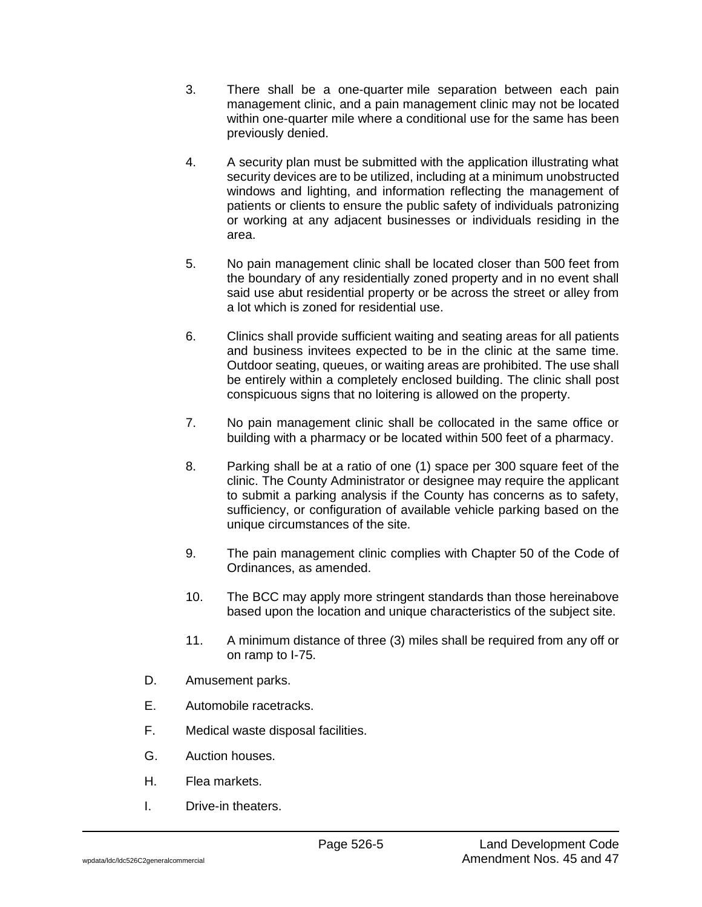- 3. There shall be a one-quarter mile separation between each pain management clinic, and a pain management clinic may not be located within one-quarter mile where a conditional use for the same has been previously denied.
- 4. A security plan must be submitted with the application illustrating what security devices are to be utilized, including at a minimum unobstructed windows and lighting, and information reflecting the management of patients or clients to ensure the public safety of individuals patronizing or working at any adjacent businesses or individuals residing in the area.
- 5. No pain management clinic shall be located closer than 500 feet from the boundary of any residentially zoned property and in no event shall said use abut residential property or be across the street or alley from a lot which is zoned for residential use.
- 6. Clinics shall provide sufficient waiting and seating areas for all patients and business invitees expected to be in the clinic at the same time. Outdoor seating, queues, or waiting areas are prohibited. The use shall be entirely within a completely enclosed building. The clinic shall post conspicuous signs that no loitering is allowed on the property.
- 7. No pain management clinic shall be collocated in the same office or building with a pharmacy or be located within 500 feet of a pharmacy.
- 8. Parking shall be at a ratio of one (1) space per 300 square feet of the clinic. The County Administrator or designee may require the applicant to submit a parking analysis if the County has concerns as to safety, sufficiency, or configuration of available vehicle parking based on the unique circumstances of the site.
- 9. The pain management clinic complies with Chapter 50 of the Code of Ordinances, as amended.
- 10. The BCC may apply more stringent standards than those hereinabove based upon the location and unique characteristics of the subject site.
- 11. A minimum distance of three (3) miles shall be required from any off or on ramp to I-75.
- D. Amusement parks.
- E. Automobile racetracks.
- F. Medical waste disposal facilities.
- G. Auction houses.
- H. Flea markets.
- I. Drive-in theaters.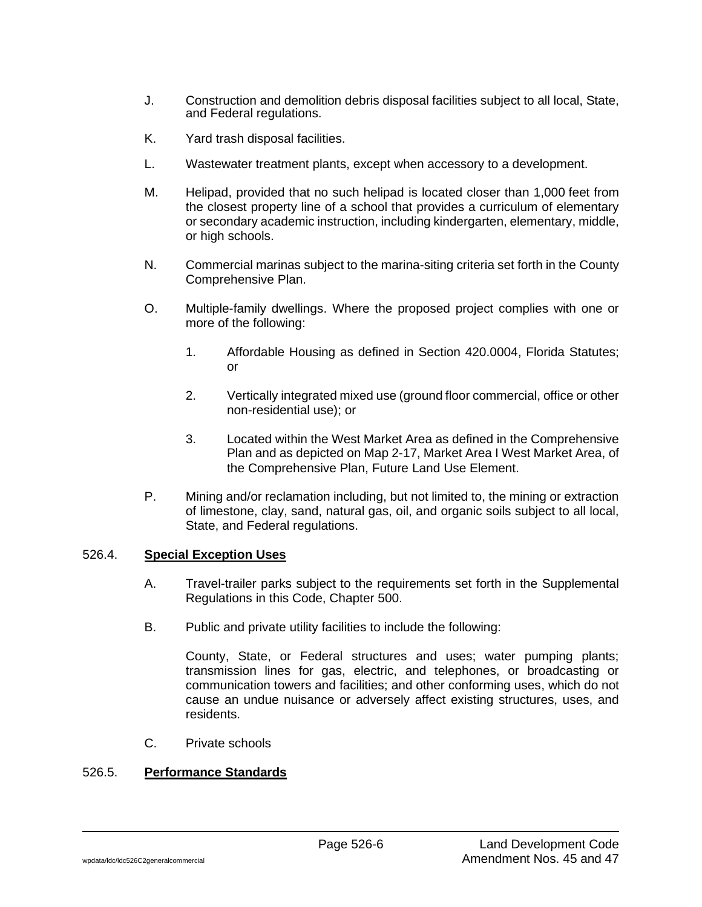- J. Construction and demolition debris disposal facilities subject to all local, State, and Federal regulations.
- K. Yard trash disposal facilities.
- L. Wastewater treatment plants, except when accessory to a development.
- M. Helipad, provided that no such helipad is located closer than 1,000 feet from the closest property line of a school that provides a curriculum of elementary or secondary academic instruction, including kindergarten, elementary, middle, or high schools.
- N. Commercial marinas subject to the marina-siting criteria set forth in the County Comprehensive Plan.
- O. Multiple-family dwellings. Where the proposed project complies with one or more of the following:
	- 1. Affordable Housing as defined in Section 420.0004, Florida Statutes; or
	- 2. Vertically integrated mixed use (ground floor commercial, office or other non-residential use); or
	- 3. Located within the West Market Area as defined in the Comprehensive Plan and as depicted on Map 2-17, Market Area I West Market Area, of the Comprehensive Plan, Future Land Use Element.
- P. Mining and/or reclamation including, but not limited to, the mining or extraction of limestone, clay, sand, natural gas, oil, and organic soils subject to all local, State, and Federal regulations.

#### 526.4. **Special Exception Uses**

- A. Travel-trailer parks subject to the requirements set forth in the Supplemental Regulations in this Code, Chapter 500.
- B. Public and private utility facilities to include the following:

County, State, or Federal structures and uses; water pumping plants; transmission lines for gas, electric, and telephones, or broadcasting or communication towers and facilities; and other conforming uses, which do not cause an undue nuisance or adversely affect existing structures, uses, and residents.

C. Private schools

# 526.5. **Performance Standards**